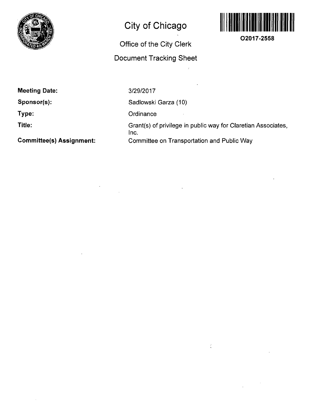

## **City of Chicago**

## **Office of the City Clerk**

## **Document Tracking Sheet**



**O2017-2558** 

**Meeting Date:** 

**Sponsor(s):** 

**Type:** 

**Title:** 

**Committee(s) Assignment:** 

3/29/2017

Sadlowski Garza (10)

**Ordinance** 

Grant(s) of privilege in public way for Claretian Associates, Inc. Committee on Transportation and Public Way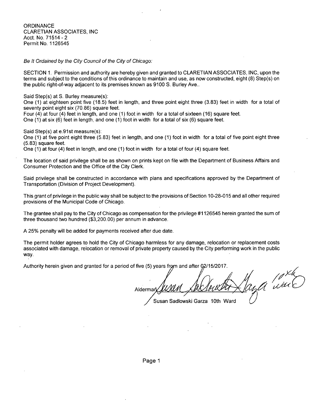**ORDINANCE** CLARETIAN ASSOCIATES, INC Acct. No. 71514 - 2 Permit No. 1126545

Be It Ordained by the City Council of the City of Chicago:

SECTION 1. Permission and authority are hereby given and granted to CLARETIAN ASSOCIATES, INC, upon the terms and subject to the conditions of this ordinance to maintain and use, as now constructed, eight (8) Step(s) on the public right-of-way adjacent to its premises known as 9100 S. Burley Ave..

Said Step(s) at S. Burley measure(s):

One (1) at eighteen point five (18.5) feet in length, and three point eight three (3.83) feet in width for a total of seventy point eight six (70.86) square feet.

Four (4) at four (4) feet in length, and one (1) foot in width for a total of sixteen (16) square feet.

One (1) at six (6) feet in length, and one (1) foot in width for a total of six (6) square feet.

Said Step(s) at e.91st measure(s):

One (1) at five point eight three (5.83) feet in length, and one (1) foot in width for a total of five point eight three (5.83) square feet.

One (1) at four (4) feet in length, and one (1) foot in width for a total of four (4) square feeL

The location of said privilege shall be as shown on prints kept on file with the Department of Business Affairs and Consumer Protection and the Office of the City Clerk.

Said privilege shall be constructed in accordance with plans and specifications approved by the Department of Transportation (Division of Project Development).

This grant of privilege in the public way shall be subject to the provisions of Section 10-28-015 and all other required provisions of the Municipal Code of Chicago.

The grantee shall pay to the City of Chicago as compensation for the privilege #1126545 herein granted the sum of three thousand two hundred (\$3,200.00) per annum in advance.

A 25% penalty will be added for payments received after due date.

The permit holder agrees to hold the City of Chicago harmless for any damage, relocation or replacement costs associated with damage, relocation or removal of private property caused by the City performing work in the public way.

Authority herein given and granted for a period of five (5) years from and after 02/15/2017.

 $A$ ldermar $\sqrt{\frac{\text{MOM}}{\text{A}\text{MOM}}\text{MOM}}$ 

Susan Sadlowski Garza 10th Ward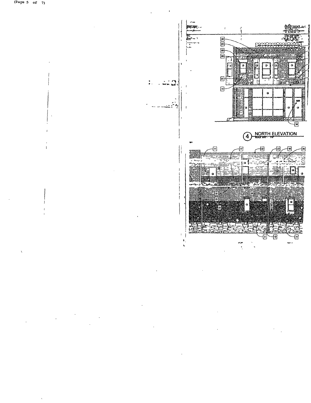